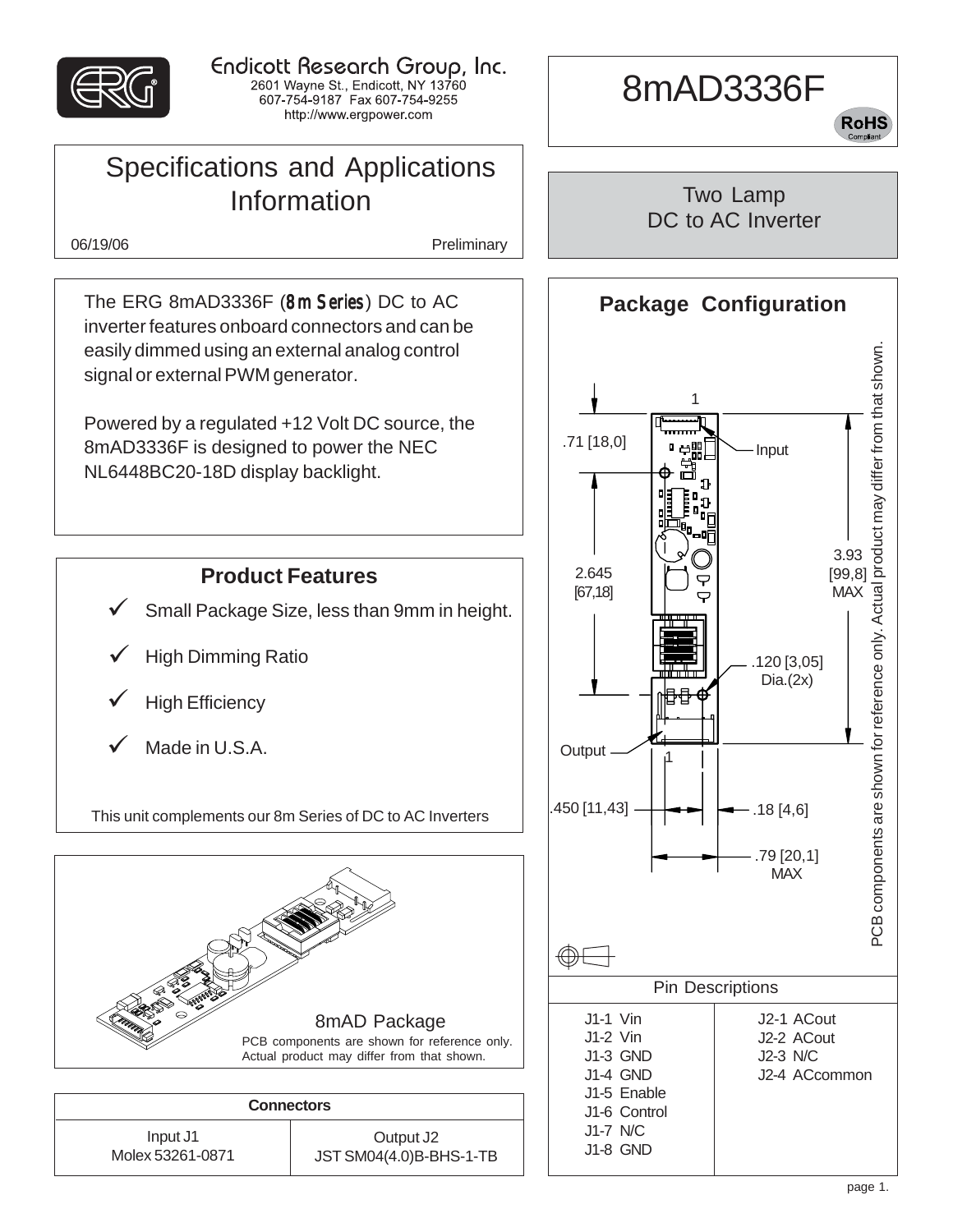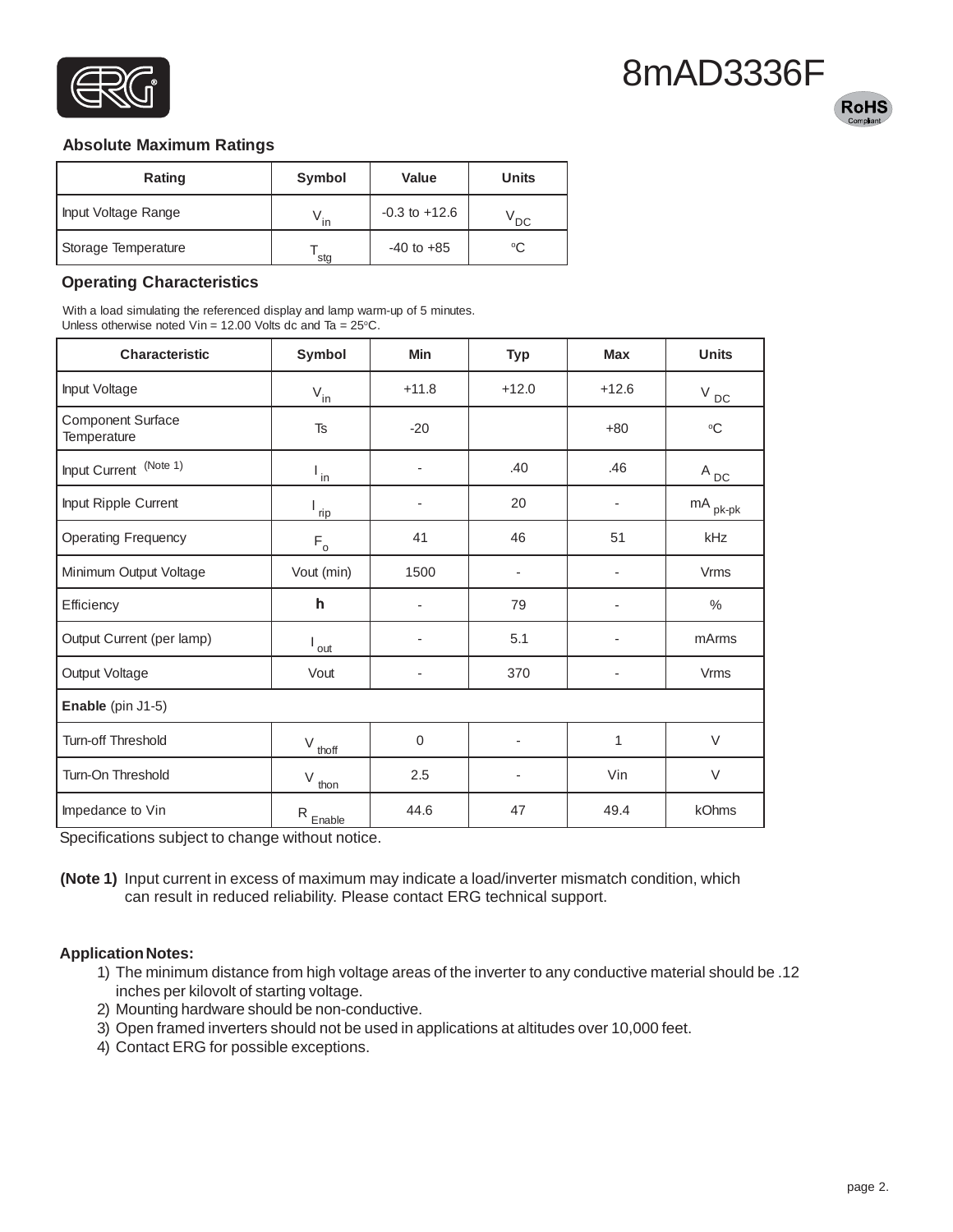

# 8mAD3336F



### **Absolute Maximum Ratings**

| Rating              | Symbol | Value             | <b>Units</b> |
|---------------------|--------|-------------------|--------------|
| Input Voltage Range | in     | $-0.3$ to $+12.6$ | DC           |
| Storage Temperature | stg    | $-40$ to $+85$    | °C           |

#### **Operating Characteristics**

With a load simulating the referenced display and lamp warm-up of 5 minutes. Unless otherwise noted Vin =  $12.00$  Volts dc and Ta =  $25^{\circ}$ C.

| <b>Characteristic</b>                   | Symbol                      | Min                      | <b>Typ</b>               | <b>Max</b> | <b>Units</b>          |
|-----------------------------------------|-----------------------------|--------------------------|--------------------------|------------|-----------------------|
| Input Voltage                           | $V_{\underline{\text{in}}}$ | $+11.8$                  | $+12.0$                  | $+12.6$    | $V_{DC}$              |
| <b>Component Surface</b><br>Temperature | <b>Ts</b>                   | $-20$                    |                          | $+80$      | $\rm ^{\circ}C$       |
| Input Current (Note 1)                  | $\frac{1}{2}$               | $\overline{\phantom{a}}$ | .40                      | .46        | $A_{DC}$              |
| Input Ripple Current                    | $\frac{1}{\underline{np}}$  |                          | 20                       |            | $mA$ <sub>pk-pk</sub> |
| <b>Operating Frequency</b>              | $F_{\circ}$                 | 41                       | 46                       | 51         | kHz                   |
| Minimum Output Voltage                  | Vout (min)                  | 1500                     | $\overline{\phantom{a}}$ |            | <b>Vrms</b>           |
| Efficiency                              | $\mathsf{h}$                | $\overline{a}$           | 79                       |            | $\frac{0}{0}$         |
| Output Current (per lamp)               | $\frac{1}{\text{out}}$      | $\overline{\phantom{a}}$ | 5.1                      |            | mArms                 |
| Output Voltage                          | Vout                        | ٠                        | 370                      |            | <b>Vrms</b>           |
| Enable (pin J1-5)                       |                             |                          |                          |            |                       |
| Turn-off Threshold                      | V<br>thoff                  | $\boldsymbol{0}$         | ٠                        | 1          | $\vee$                |
| Turn-On Threshold                       | V<br>thon                   | 2.5                      |                          | Vin        | $\vee$                |
| Impedance to Vin                        | $R_{Enable}$                | 44.6                     | 47                       | 49.4       | kOhms                 |

Specifications subject to change without notice.

**(Note 1)** Input current in excess of maximum may indicate a load/inverter mismatch condition, which can result in reduced reliability. Please contact ERG technical support.

#### **Application Notes:**

- 1) The minimum distance from high voltage areas of the inverter to any conductive material should be .12 inches per kilovolt of starting voltage.
- 2) Mounting hardware should be non-conductive.
- 3) Open framed inverters should not be used in applications at altitudes over 10,000 feet.
- 4) Contact ERG for possible exceptions.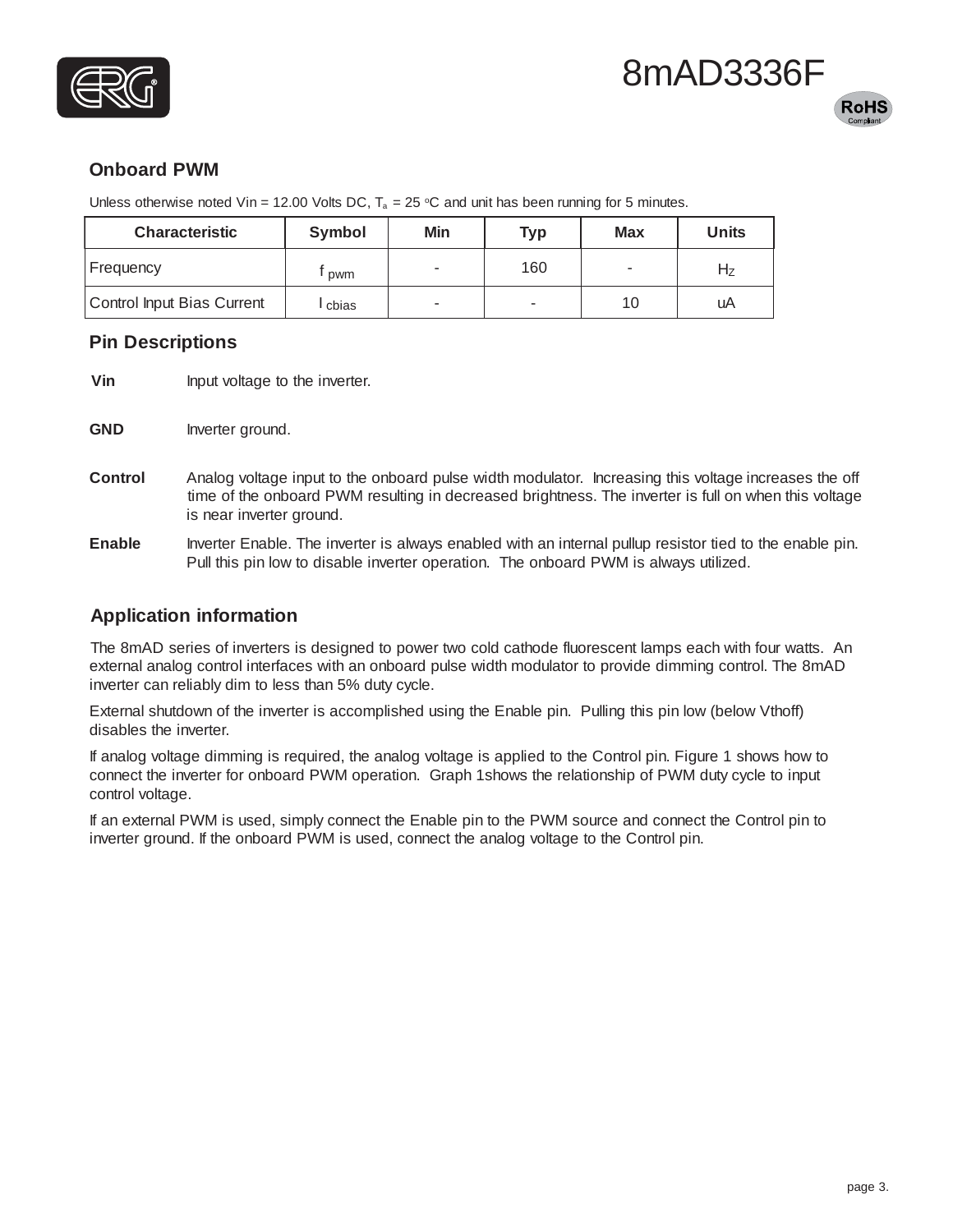





## **Onboard PWM**

Unless otherwise noted Vin = 12.00 Volts DC,  $T_a = 25$  °C and unit has been running for 5 minutes.

| <b>Characteristic</b>      | Symbol | Min | <b>Typ</b> | <b>Max</b> | <b>Units</b> |
|----------------------------|--------|-----|------------|------------|--------------|
| Frequency                  | pwm    |     | 160        | -          | Ηz           |
| Control Input Bias Current | cbias  |     |            | 10         | uA           |

## **Pin Descriptions**

**Vin** Input voltage to the inverter.

- GND Inverter ground.
- **Control** Analog voltage input to the onboard pulse width modulator. Increasing this voltage increases the off time of the onboard PWM resulting in decreased brightness. The inverter is full on when this voltage is near inverter ground.
- **Enable** Inverter Enable. The inverter is always enabled with an internal pullup resistor tied to the enable pin. Pull this pin low to disable inverter operation. The onboard PWM is always utilized.

## **Application information**

The 8mAD series of inverters is designed to power two cold cathode fluorescent lamps each with four watts. An external analog control interfaces with an onboard pulse width modulator to provide dimming control. The 8mAD inverter can reliably dim to less than 5% duty cycle.

External shutdown of the inverter is accomplished using the Enable pin. Pulling this pin low (below Vthoff) disables the inverter.

If analog voltage dimming is required, the analog voltage is applied to the Control pin. Figure 1 shows how to connect the inverter for onboard PWM operation. Graph 1shows the relationship of PWM duty cycle to input control voltage.

If an external PWM is used, simply connect the Enable pin to the PWM source and connect the Control pin to inverter ground. If the onboard PWM is used, connect the analog voltage to the Control pin.